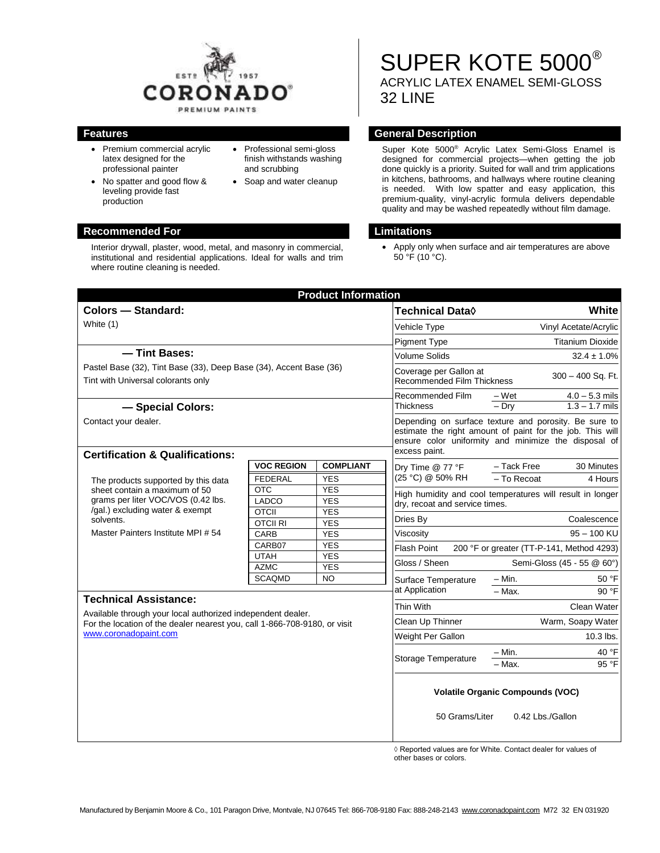

- Premium commercial acrylic latex designed for the professional painter
- No spatter and good flow & leveling provide fast production
- Professional semi-gloss finish withstands washing and scrubbing
- Soap and water cleanup

### **Recommended For Limitations**

Interior drywall, plaster, wood, metal, and masonry in commercial, institutional and residential applications. Ideal for walls and trim where routine cleaning is needed.

SUPER KOTE 5000® ACRYLIC LATEX ENAMEL SEMI-GLOSS 32 LINE

### **Features General Description**

Super Kote 5000® Acrylic Latex Semi-Gloss Enamel is designed for commercial projects—when getting the job done quickly is a priority. Suited for wall and trim applications in kitchens, bathrooms, and hallways where routine cleaning is needed. With low spatter and easy application, this premium-quality, vinyl-acrylic formula delivers dependable quality and may be washed repeatedly without film damage.

 Apply only when surface and air temperatures are above  $50^{\circ}$ F (10 $^{\circ}$ C).

| <b>Product Information</b>                                                                                                                                                                       |                              |                          |                                                                                                                                                                                             |                                                                                |
|--------------------------------------------------------------------------------------------------------------------------------------------------------------------------------------------------|------------------------------|--------------------------|---------------------------------------------------------------------------------------------------------------------------------------------------------------------------------------------|--------------------------------------------------------------------------------|
| <b>Colors - Standard:</b>                                                                                                                                                                        |                              |                          | Technical Data $\Diamond$                                                                                                                                                                   | <b>White</b>                                                                   |
| White (1)                                                                                                                                                                                        |                              |                          | Vehicle Type                                                                                                                                                                                | Vinyl Acetate/Acrylic                                                          |
|                                                                                                                                                                                                  |                              |                          | <b>Pigment Type</b>                                                                                                                                                                         | <b>Titanium Dioxide</b>                                                        |
| - Tint Bases:                                                                                                                                                                                    |                              |                          | <b>Volume Solids</b>                                                                                                                                                                        | $32.4 \pm 1.0\%$                                                               |
| Pastel Base (32), Tint Base (33), Deep Base (34), Accent Base (36)<br>Tint with Universal colorants only                                                                                         |                              |                          | Coverage per Gallon at<br>300 - 400 Sq. Ft.<br><b>Recommended Film Thickness</b>                                                                                                            |                                                                                |
| - Special Colors:                                                                                                                                                                                |                              |                          | Recommended Film<br><b>Thickness</b>                                                                                                                                                        | $-Wet$<br>$\frac{4.0 - 5.3 \text{ miles}}{1.3 - 1.7 \text{ miles}}$<br>$-$ Dry |
| Contact your dealer.                                                                                                                                                                             |                              |                          | Depending on surface texture and porosity. Be sure to<br>estimate the right amount of paint for the job. This will<br>ensure color uniformity and minimize the disposal of<br>excess paint. |                                                                                |
| <b>Certification &amp; Qualifications:</b>                                                                                                                                                       |                              |                          |                                                                                                                                                                                             |                                                                                |
| The products supported by this data<br>sheet contain a maximum of 50<br>grams per liter VOC/VOS (0.42 lbs.<br>/gal.) excluding water & exempt<br>solvents.<br>Master Painters Institute MPI # 54 | <b>VOC REGION</b>            | <b>COMPLIANT</b>         | Dry Time @ 77 °F<br>(25 °C) @ 50% RH                                                                                                                                                        | - Tack Free<br>30 Minutes<br>- To Recoat<br>4 Hours                            |
|                                                                                                                                                                                                  | <b>FEDERAL</b><br><b>OTC</b> | <b>YES</b><br><b>YES</b> |                                                                                                                                                                                             |                                                                                |
|                                                                                                                                                                                                  | LADCO                        | <b>YES</b>               | High humidity and cool temperatures will result in longer<br>dry, recoat and service times.                                                                                                 |                                                                                |
|                                                                                                                                                                                                  | <b>OTCII</b>                 | <b>YES</b>               |                                                                                                                                                                                             |                                                                                |
|                                                                                                                                                                                                  | <b>OTCII RI</b>              | <b>YES</b>               | Dries By                                                                                                                                                                                    | Coalescence                                                                    |
|                                                                                                                                                                                                  | CARB                         | <b>YES</b>               | Viscosity                                                                                                                                                                                   | $95 - 100$ KU                                                                  |
|                                                                                                                                                                                                  | CARB07                       | <b>YES</b>               | <b>Flash Point</b><br>200 °F or greater (TT-P-141, Method 4293)<br>Gloss / Sheen<br>Semi-Gloss (45 - 55 @ 60°)                                                                              |                                                                                |
|                                                                                                                                                                                                  | <b>UTAH</b><br><b>AZMC</b>   | <b>YES</b><br><b>YES</b> |                                                                                                                                                                                             |                                                                                |
|                                                                                                                                                                                                  | <b>SCAQMD</b>                | <b>NO</b>                | Surface Temperature                                                                                                                                                                         | - Min.<br>50 °F                                                                |
|                                                                                                                                                                                                  |                              |                          | at Application                                                                                                                                                                              | $-$ Max.<br>90 °F                                                              |
| <b>Technical Assistance:</b><br>Available through your local authorized independent dealer.                                                                                                      |                              |                          | Thin With                                                                                                                                                                                   | Clean Water                                                                    |
| For the location of the dealer nearest you, call 1-866-708-9180, or visit<br>www.coronadopaint.com                                                                                               |                              |                          | Clean Up Thinner                                                                                                                                                                            | Warm, Soapy Water                                                              |
|                                                                                                                                                                                                  |                              |                          | Weight Per Gallon                                                                                                                                                                           | 10.3 lbs.                                                                      |
|                                                                                                                                                                                                  |                              |                          |                                                                                                                                                                                             | 40 °F<br>– Min.                                                                |
|                                                                                                                                                                                                  |                              |                          | Storage Temperature                                                                                                                                                                         | - Max.<br>95 °F                                                                |
|                                                                                                                                                                                                  |                              |                          | <b>Volatile Organic Compounds (VOC)</b><br>50 Grams/Liter<br>0.42 Lbs./Gallon                                                                                                               |                                                                                |
|                                                                                                                                                                                                  |                              |                          |                                                                                                                                                                                             |                                                                                |

◊ Reported values are for White. Contact dealer for values of other bases or colors.